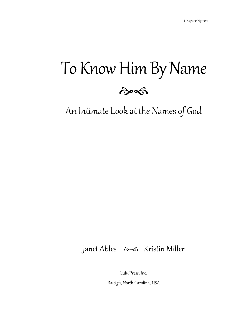# To Know Him By Name



An Intimate Look at the Names of God

### Janet Ables  $\gg$  Kristin Miller

Lulu Press, Inc.

Raleigh, North Carolina, USA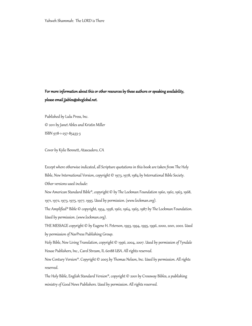#### For more information about this or other resources by these authors or speaking availability, please email jjables@sbcglobal.net.

Published by Lulu Press, Inc. © 2011 by Janet Ables and Kristin Miller ISBN 978-1-257-85433-3

Cover by Kylie Bennett, Atascadero, CA

Except where otherwise indicated, all Scripture quotations in this book are taken from The Holy Bible, New International Version, copyright © 1973, 1978, 1984 by International Bible Society. Other versions used include:

New American Standard Bible®, copyright © by The Lockman Foundation 1960, 1962, 1963, 1968, 1971, 1972, 1973, 1975, 1977, 1995. Used by permission. (www.lockman.org).

The Amplified® Bible © copyright, 1954, 1958, 1962, 1964, 1965, 1987 by The Lockman Foundation. Used by permission. (www.lockman.org).

THE MESSAGE copyright © by Eugene H. Peterson, 1993, 1994, 1995, 1996, 2000, 2001, 2002. Used by permission of NavPress Publishing Group.

Holy Bible, New Living Translation, copyright © 1996, 2004, 2007. Used by permission of Tyndale House Publishers, Inc., Carol Stream, IL 60188 USA. All rights reserved.

New Century Version®. Copyright © 2005 by Thomas Nelson, Inc. Used by permission. All rights reserved.

The Holy Bible, English Standard Version®, copyright © 2001 by Crossway Bibles, a publishing ministry of Good News Publishers. Used by permission. All rights reserved.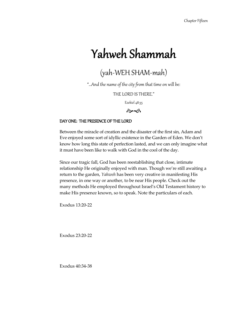## Yahweh Shammah

### (yah-WEH SHAM-mah)

"…And the name of the city from that time on will be:

THE LORD IS THERE."

Ezekiel 48:35



#### DAY ONE: THE PRESENCE OF THE LORD

Between the miracle of creation and the disaster of the first sin, Adam and Eve enjoyed some sort of idyllic existence in the Garden of Eden. We don't know how long this state of perfection lasted, and we can only imagine what it must have been like to walk with God in the cool of the day.

Since our tragic fall, God has been reestablishing that close, intimate relationship He originally enjoyed with man. Though we're still awaiting a return to the garden, *Yahweh* has been very creative in manifesting His presence, in one way or another, to be near His people. Check out the many methods He employed throughout Israel's Old Testament history to make His presence known, so to speak. Note the particulars of each.

Exodus 13:20-22

Exodus 23:20-22

Exodus 40:34-38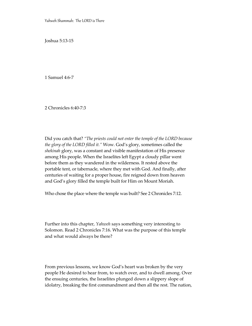Yahweh Shammah: The LORD is There

Joshua 5:13-15

1 Samuel 4:6-7

2 Chronicles 6:40-7:3

Did you catch that? *"The priests could not enter the temple of the LORD because the glory of the LORD filled it."* Wow. God's glory, sometimes called the *shekinah* glory, was a constant and visible manifestation of His presence among His people. When the Israelites left Egypt a cloudy pillar went before them as they wandered in the wilderness. It rested above the portable tent, or tabernacle, where they met with God. And finally, after centuries of waiting for a proper house, fire reigned down from heaven and God's glory filled the temple built for Him on Mount Moriah.

Who chose the place where the temple was built? See 2 Chronicles 7:12.

Further into this chapter, *Yahweh* says something very interesting to Solomon. Read 2 Chronicles 7:16. What was the purpose of this temple and what would always be there?

From previous lessons, we know God's heart was broken by the very people He desired to hear from, to watch over, and to dwell among. Over the ensuing centuries, the Israelites plunged down a slippery slope of idolatry, breaking the first commandment and then all the rest. The nation,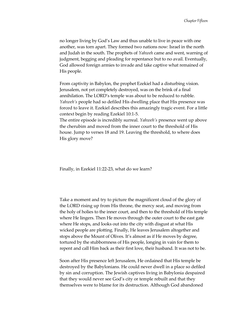no longer living by God's Law and thus unable to live in peace with one another, was torn apart. They formed two nations now: Israel in the north and Judah in the south. The prophets of *Yahweh* came and went, warning of judgment, begging and pleading for repentance but to no avail. Eventually, God allowed foreign armies to invade and take captive what remained of His people.

From captivity in Babylon, the prophet Ezekiel had a disturbing vision. Jerusalem, not yet completely destroyed, was on the brink of a final annihilation. The LORD's temple was about to be reduced to rubble. *Yahweh's* people had so defiled His dwelling place that His presence was forced to leave it. Ezekiel describes this amazingly tragic event. For a little context begin by reading Ezekiel 10:1-5.

The entire episode is incredibly surreal. *Yahweh's* presence went up above the cherubim and moved from the inner court to the threshold of His house. Jump to verses 18 and 19. Leaving the threshold, to where does His glory move?

Finally, in Ezekiel 11:22-23, what do we learn?

Take a moment and try to picture the magnificent cloud of the glory of the LORD rising up from His throne, the mercy seat, and moving from the holy of holies to the inner court, and then to the threshold of His temple where He lingers. Then He moves through the outer court to the east gate where He stops, and looks out into the city with disgust at what His wicked people are plotting. Finally, He leaves Jerusalem altogether and stops above the Mount of Olives. It's almost as if He moves by degree, tortured by the stubbornness of His people, longing in vain for them to repent and call Him back as their first love, their husband. It was not to be.

Soon after His presence left Jerusalem, He ordained that His temple be destroyed by the Babylonians. He could never dwell in a place so defiled by sin and corruption. The Jewish captives living in Babylonia despaired that they would never see God's city or temple rebuilt and that they themselves were to blame for its destruction. Although God abandoned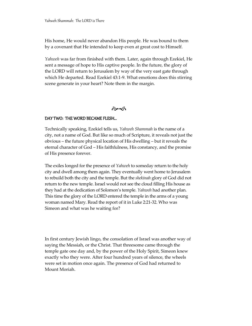His home, He would never abandon His people. He was bound to them by a covenant that He intended to keep even at great cost to Himself.

*Yahweh* was far from finished with them. Later, again through Ezekiel, He sent a message of hope to His captive people. In the future, the glory of the LORD will return to Jerusalem by way of the very east gate through which He departed. Read Ezekiel 43:1-9. What emotions does this stirring scene generate in your heart? Note them in the margin.

#### $\hat{\sigma}$

#### DAY TWO: THE WORD BECAME FLESH…

Technically speaking, Ezekiel tells us, *Yahweh Shammah* is the name of a city, not a name of God. But like so much of Scripture, it reveals not just the obvious – the future physical location of His dwelling – but it reveals the eternal character of God – His faithfulness, His constancy, and the promise of His presence forever.

The exiles longed for the presence of *Yahweh* to someday return to the holy city and dwell among them again. They eventually went home to Jerusalem to rebuild both the city and the temple. But the *shekinah* glory of God did not return to the new temple. Israel would not see the cloud filling His house as they had at the dedication of Solomon's temple. *Yahweh* had another plan. This time the glory of the LORD entered the temple in the arms of a young woman named Mary. Read the report of it in Luke 2:21-32. Who was Simeon and what was he waiting for?

In first century Jewish lingo, the consolation of Israel was another way of saying the Messiah, or the Christ. That threesome came through the temple gate one day and, by the power of the Holy Spirit, Simeon knew exactly who they were. After four hundred years of silence, the wheels were set in motion once again. The presence of God had returned to Mount Moriah.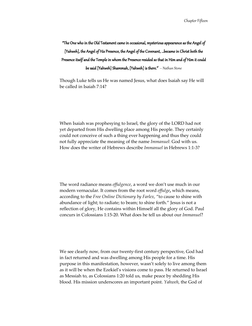### "The One who in the Old Testament came in occasional, mysterious appearance as the Angel of [Yahweh], the Angel of His Presence, the Angel of the Covenant, …became in Christ both the Presence itself and the Temple in whom the Presence resided so that in Him and of Him it could **be said [Yahweh] Shammah, [Yahweh] is there."'** — Nathan Stone

Though Luke tells us He was named Jesus, what does Isaiah say He will be called in Isaiah 7:14?

When Isaiah was prophesying to Israel, the glory of the LORD had not yet departed from His dwelling place among His people. They certainly could not conceive of such a thing ever happening and thus they could not fully appreciate the meaning of the name *Immanuel*: God with us. How does the writer of Hebrews describe *Immanuel* in Hebrews 1:1-3?

The word radiance means *effulgence*, a word we don't use much in our modern vernacular. It comes from the root word *effulge***,** which means, according to the *Free Online Dictionary by Farlex*, "to cause to shine with abundance of light; to radiate; to beam; to shine forth." Jesus is not a reflection of glory, He contains within Himself all the glory of God. Paul concurs in Colossians 1:15-20. What does he tell us about our *Immanuel*?

We see clearly now, from our twenty-first century perspective, God had in fact returned and was dwelling among His people for a time. His purpose in this manifestation, however, wasn't solely to live among them as it will be when the Ezekiel's visions come to pass. He returned to Israel as Messiah to, as Colossians 1:20 told us, make peace by shedding His blood. His mission underscores an important point. *Yahweh*, the God of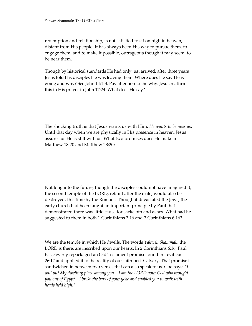redemption and relationship, is not satisfied to sit on high in heaven, distant from His people. It has always been His way to pursue them, to engage them, and to make it possible, outrageous though it may seem, to be near them.

Though by historical standards He had only just arrived, after three years Jesus told His disciples He was leaving them. Where does He say He is going and why? See John 14:1-3. Pay attention to the why. Jesus reaffirms this in His prayer in John 17:24. What does He say?

The shocking truth is that Jesus wants us with Him. *He wants to be near us.* Until that day when we are physically in His presence in heaven, Jesus assures us He is still with us. What two promises does He make in Matthew 18:20 and Matthew 28:20?

Not long into the future, though the disciples could not have imagined it, the second temple of the LORD, rebuilt after the exile, would also be destroyed, this time by the Romans. Though it devastated the Jews, the early church had been taught an important principle by Paul that demonstrated there was little cause for sackcloth and ashes. What had he suggested to them in both 1 Corinthians 3:16 and 2 Corinthians 6:16?

We are the temple in which He dwells. The words *Yahweh Shammah,* the LORD is there, are inscribed upon our hearts. In 2 Corinthians 6:16, Paul has cleverly repackaged an Old Testament promise found in Leviticus 26:12 and applied it to the reality of our faith post-Calvary. That promise is sandwiched in between two verses that can also speak to us. God says: *"I will put My dwelling place among you…I am the LORD your God who brought you out of Egypt…I broke the bars of your yoke and enabled you to walk with heads held high."*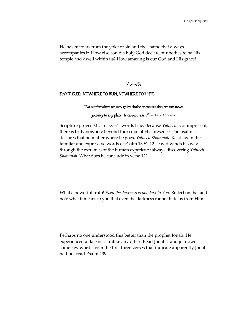He has freed us from the yoke of sin and the shame that always accompanies it. How else could a holy God declare our bodies to be His temple and dwell within us? How amazing is our God and His grace!

 $\hat{\sigma}$ 

#### DAY THREE: NOWHERE TO RUN, NOWHERE TO HIDE

"No matter where we may go by choice or compulsion, we can never

**journey to any place He cannot reach."** — Herbert Lockyer

Scripture proves Mr. Lockyer's words true. Because *Yahweh* is omnipresent, there is truly nowhere beyond the scope of His presence. The psalmist declares that no matter where he goes, *Yahweh Shammah*. Read again the familiar and expressive words of Psalm 139:1-12. David winds his way through the extremes of the human experience always discovering *Yahweh Shammah*. What does he conclude in verse 12?

What a powerful truth! *Even the darkness is not dark to You.* Reflect on that and note what it means to you that even the darkness cannot hide us from Him.

Perhaps no one understood this better than the prophet Jonah. He experienced a darkness unlike any other. Read Jonah 1 and jot down some key words from the first three verses that indicate apparently Jonah had not read Psalm 139.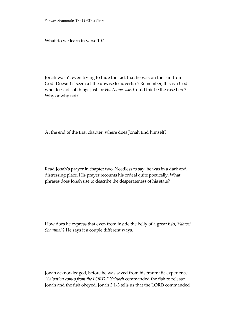Yahweh Shammah: The LORD is There

What do we learn in verse 10?

Jonah wasn't even trying to hide the fact that he was on the run from God. Doesn't it seem a little unwise to advertise? Remember, this is a God who does lots of things just for *His Name sake*. Could this be the case here? Why or why not?

At the end of the first chapter, where does Jonah find himself?

Read Jonah's prayer in chapter two. Needless to say, he was in a dark and distressing place. His prayer recounts his ordeal quite poetically. What phrases does Jonah use to describe the desperateness of his state?

How does he express that even from inside the belly of a great fish, *Yahweh Shammah*? He says it a couple different ways.

Jonah acknowledged, before he was saved from his traumatic experience, *"Salvation comes from the LORD." Yahweh* commanded the fish to release Jonah and the fish obeyed. Jonah 3:1-3 tells us that the LORD commanded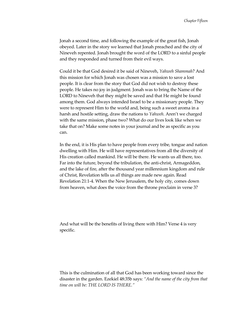Jonah a second time, and following the example of the great fish, Jonah obeyed. Later in the story we learned that Jonah preached and the city of Nineveh repented. Jonah brought the word of the LORD to a sinful people and they responded and turned from their evil ways.

Could it be that God desired it be said of Nineveh, *Yahweh Shammah*? And this mission for which Jonah was chosen was a mission to save a lost people. It is clear from the story that God did not wish to destroy these people. He takes no joy in judgment. Jonah was to bring the Name of the LORD to Nineveh that they might be saved and that He might be found among them. God always intended Israel to be a missionary people. They were to represent Him to the world and, being such a sweet aroma in a harsh and hostile setting, draw the nations to *Yahweh*. Aren't we charged with the same mission, phase two? What do our lives look like when we take that on? Make some notes in your journal and be as specific as you can.

In the end, it is His plan to have people from every tribe, tongue and nation dwelling with Him. He will have representatives from all the diversity of His creation called mankind. He will be there. He wants us all there, too. Far into the future, beyond the tribulation, the anti-christ, Armageddon, and the lake of fire, after the thousand year millennium kingdom and rule of Christ, Revelation tells us *all* things are made new again. Read Revelation 21:1-4. When the New Jerusalem, the holy city, comes down from heaven, what does the voice from the throne proclaim in verse 3?

And what will be the benefits of living there with Him? Verse 4 is very specific.

This is the culmination of all that God has been working toward since the disaster in the garden. Ezekiel 48:35b says: *"And the name of the city from that time on will be: THE LORD IS THERE."*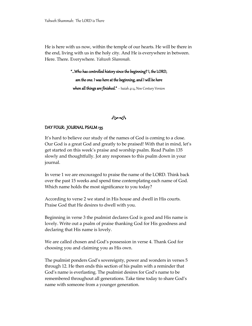He is here with us now, within the temple of our hearts. He will be there in the end, living with us in the holy city. And He is everywhere in between. Here. There. Everywhere. *Yahweh Shammah.*

"…Who has controlled history since the beginning? I, the LORD,

am the one. I was here at the beginning, and I will be here when all things are finished."  $-$  Isaiah 41:4, New Century Version



#### DAY FOUR: JOURNAL PSALM 135

It's hard to believe our study of the names of God is coming to a close. Our God is a great God and greatly to be praised! With that in mind, let's get started on this week's praise and worship psalm. Read Psalm 135 slowly and thoughtfully. Jot any responses to this psalm down in your journal.

In verse 1 we are encouraged to praise the name of the LORD. Think back over the past 15 weeks and spend time contemplating each name of God. Which name holds the most significance to you today?

According to verse 2 we stand in His house and dwell in His courts. Praise God that He desires to dwell with you.

Beginning in verse 3 the psalmist declares God is good and His name is lovely. Write out a psalm of praise thanking God for His goodness and declaring that His name is lovely.

We are called chosen and God's possession in verse 4. Thank God for choosing you and claiming you as His own.

The psalmist ponders God's sovereignty, power and wonders in verses 5 through 12. He then ends this section of his psalm with a reminder that God's name is everlasting. The psalmist desires for God's name to be remembered throughout all generations. Take time today to share God's name with someone from a younger generation.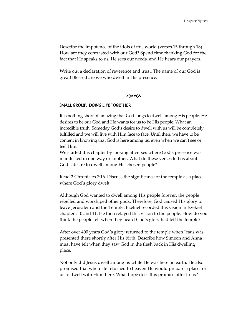Describe the impotence of the idols of this world (verses 15 through 18). How are they contrasted with our God? Spend time thanking God for the fact that He speaks to us, He sees our needs, and He hears our prayers.

Write out a declaration of reverence and trust. The name of our God is great! Blessed are we who dwell in His presence.

#### $\hat{\sigma}$

#### SMALL GROUP: DOING LIFE TOGETHER

It is nothing short of amazing that God longs to dwell among His people. He desires to be our God and He wants for us to be His people. What an incredible truth! Someday God's desire to dwell with us will be completely fulfilled and we will live with Him face to face. Until then, we have to be content in knowing that God is here among us, even when we can't see or feel Him.

We started this chapter by looking at verses where God's presence was manifested in one way or another. What do these verses tell us about God's desire to dwell among His chosen people?

Read 2 Chronicles 7:16. Discuss the significance of the temple as a place where God's glory dwelt.

Although God wanted to dwell among His people forever, the people rebelled and worshiped other gods. Therefore, God caused His glory to leave Jerusalem and the Temple. Ezekiel recorded this vision in Ezekiel chapters 10 and 11. He then relayed this vision to the people. How do you think the people felt when they heard God's glory had left the temple?

After over 400 years God's glory returned to the temple when Jesus was presented there shortly after His birth. Describe how Simeon and Anna must have felt when they saw God in the flesh back in His dwelling place.

Not only did Jesus dwell among us while He was here on earth, He also promised that when He returned to heaven He would prepare a place for us to dwell with Him there. What hope does this promise offer to us?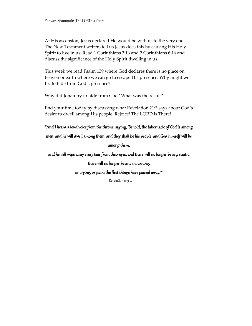At His ascension, Jesus declared He would be with us to the very end. The New Testament writers tell us Jesus does this by causing His Holy Spirit to live in us. Read 1 Corinthians 3:16 and 2 Corinthians 6:16 and discuss the significance of the Holy Spirit dwelling in us.

This week we read Psalm 139 where God declares there is no place on heaven or earth where we can go to escape His presence. Why might we try to hide from God's presence?

Why did Jonah try to hide from God? What was the result?

End your time today by discussing what Revelation 21:3 says about God's desire to dwell among His people. Rejoice! The LORD is There!

"And I heard a loud voice from the throne, saying, 'Behold, the tabernacle of God is among

men, and he will dwell among them, and they shall be his people, and God himself will be

#### among them,

and he will wipe away every tear from their eyes; and there will no longer be any death;

there will no longer be any mourning,

or crying, or pain; the first things have passed away.'"

– Revelation 21:3-4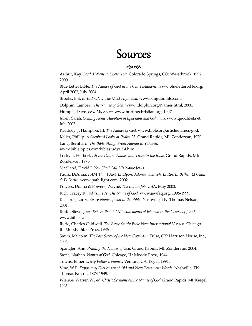## Sources

#### $\hat{\sigma}$

Arthur, Kay. *Lord, I Want to Know You.* Colorado Springs, CO: Waterbrook, 1992, 2000.

Blue Letter Bible*. The Names of God in the Old Testament.* www.blueletterbible.org, April 2002, July 2004

Brooks, E.E. *El-ELYON…The Most High God.* www.kingdomlife.com.

Dolphin, Lambert. *The Names of God.* www.ldolphin.org/Names.html, 2000.

Humpal, Dave. *Feed My Sheep.* www.hurtingchristian.org, 1997.

Julien, Sarah. *Coming Home: Adoption in Ephesians and Galatians.* www.quodlibet.net, July 2003.

Keathley, J. Hampton, III. *The Names of God.* www.bible.org/article/names-god.

Keller, Phillip. *A Shepherd Looks at Psalm 23.* Grand Rapids, MI: Zondervan, 1970.

Lang, Bernhard. *The Bible Study: From Adonai to Yahweh.* 

www.bibletopics.com/biblestudy/154.htm.

Lockyer, Herbert. *All the Divine Names and Titles in the Bible.* Grand Rapids, MI: Zondervan, 1975.

MacLeod, David J. *You Shall Call His Name Jesus.* 

Paulk, DiAnna. *I AM That I AM: El Elyon: Adonai: Yahweh; El Roi, El Bethel, El Olam & El Berith.* www.path-light.com, 2002.

Powers, Donna & Powers, Wayne. *The Italian Job.* USA: May 2003.

Rich, Tracey R. *Judaism 101: The Name of God.* www.jewfaq.org, 1996-1999.

Richards, Larry. *Every Name of God in the Bible*. Nashville, TN: Thomas Nelson, 2001.

Rudd, Steve*. Jesus Echoes the "I AM" statements of Jehovah in the Gospel of John!* www.bible.ca

Ryrie, Charles Caldwell. *The Ryrie Study Bible New International Version.* Chicago, IL: Moody Bible Press, 1986

Smith, Malcolm. *The Lost Secret of the New Covenant.* Tulsa, OK: Harrison House, Inc., 2002.

Spangler, Ann. *Praying the Names of God.* Grand Rapids, MI: Zondervan, 2004. Stone, Nathan. *Names of God.* Chicago, IL: Moody Press, 1944.

Towns, Elmer L. *My Father's Names.* Ventura, CA: Regal, 1991.

Vine, W.E. *Expository Dictionary of Old and New Testament Words.* Nashville, TN: Thomas Nelson, 1873-1949.

Wiersbe, Warren W., ed. *Classic Sermons on the Names of God.* Grand Rapids, MI: Kregel, 1993.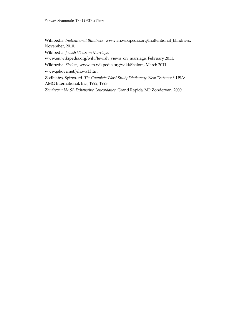Wikipedia. *Inattentional Blindness.* www.en.wikipedia.org/Inattentional\_blindness. November, 2010.

Wikipedia. *Jewish Views on Marriage.* 

www.en.wikipedia.org/wiki/Jewish\_views\_on\_marriage, February 2011.

Wikipedia. *Shalom,* www.en.wikpedia.org/wiki/Shalom, March 2011.

www.jehova.net/jehova1.htm.

Zodhiates, Spiros, ed. *The Complete Word Study Dictionary: New Testament.* USA: AMG International, Inc., 1992, 1993.

*Zondervan NASB Exhaustive Concordance*. Grand Rapids, MI: Zondervan, 2000.